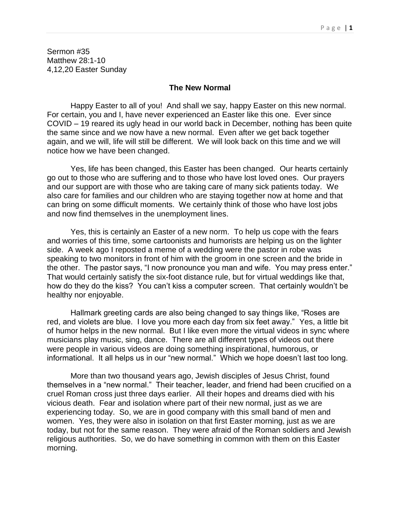Sermon #35 Matthew 28:1-10 4,12,20 Easter Sunday

## **The New Normal**

Happy Easter to all of you! And shall we say, happy Easter on this new normal. For certain, you and I, have never experienced an Easter like this one. Ever since COVID – 19 reared its ugly head in our world back in December, nothing has been quite the same since and we now have a new normal. Even after we get back together again, and we will, life will still be different. We will look back on this time and we will notice how we have been changed.

Yes, life has been changed, this Easter has been changed. Our hearts certainly go out to those who are suffering and to those who have lost loved ones. Our prayers and our support are with those who are taking care of many sick patients today. We also care for families and our children who are staying together now at home and that can bring on some difficult moments. We certainly think of those who have lost jobs and now find themselves in the unemployment lines.

Yes, this is certainly an Easter of a new norm. To help us cope with the fears and worries of this time, some cartoonists and humorists are helping us on the lighter side. A week ago I reposted a meme of a wedding were the pastor in robe was speaking to two monitors in front of him with the groom in one screen and the bride in the other. The pastor says, "I now pronounce you man and wife. You may press enter." That would certainly satisfy the six-foot distance rule, but for virtual weddings like that, how do they do the kiss? You can't kiss a computer screen. That certainly wouldn't be healthy nor enjoyable.

Hallmark greeting cards are also being changed to say things like, "Roses are red, and violets are blue. I love you more each day from six feet away." Yes, a little bit of humor helps in the new normal. But I like even more the virtual videos in sync where musicians play music, sing, dance. There are all different types of videos out there were people in various videos are doing something inspirational, humorous, or informational. It all helps us in our "new normal." Which we hope doesn't last too long.

More than two thousand years ago, Jewish disciples of Jesus Christ, found themselves in a "new normal." Their teacher, leader, and friend had been crucified on a cruel Roman cross just three days earlier. All their hopes and dreams died with his vicious death. Fear and isolation where part of their new normal, just as we are experiencing today. So, we are in good company with this small band of men and women. Yes, they were also in isolation on that first Easter morning, just as we are today, but not for the same reason. They were afraid of the Roman soldiers and Jewish religious authorities. So, we do have something in common with them on this Easter morning.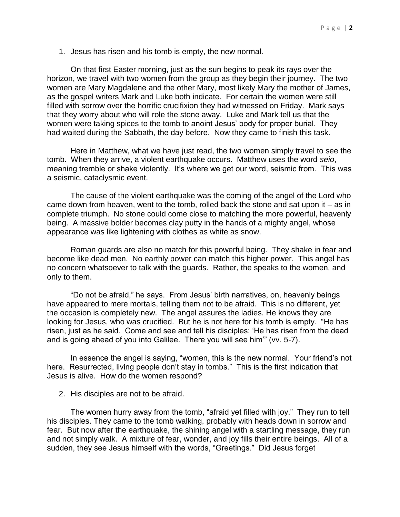1. Jesus has risen and his tomb is empty, the new normal.

On that first Easter morning, just as the sun begins to peak its rays over the horizon, we travel with two women from the group as they begin their journey. The two women are Mary Magdalene and the other Mary, most likely Mary the mother of James, as the gospel writers Mark and Luke both indicate. For certain the women were still filled with sorrow over the horrific crucifixion they had witnessed on Friday. Mark says that they worry about who will role the stone away. Luke and Mark tell us that the women were taking spices to the tomb to anoint Jesus' body for proper burial. They had waited during the Sabbath, the day before. Now they came to finish this task.

Here in Matthew, what we have just read, the two women simply travel to see the tomb. When they arrive, a violent earthquake occurs. Matthew uses the word *seio*, meaning tremble or shake violently. It's where we get our word, seismic from. This was a seismic, cataclysmic event.

The cause of the violent earthquake was the coming of the angel of the Lord who came down from heaven, went to the tomb, rolled back the stone and sat upon it – as in complete triumph. No stone could come close to matching the more powerful, heavenly being. A massive bolder becomes clay putty in the hands of a mighty angel, whose appearance was like lightening with clothes as white as snow.

Roman guards are also no match for this powerful being. They shake in fear and become like dead men. No earthly power can match this higher power. This angel has no concern whatsoever to talk with the guards. Rather, the speaks to the women, and only to them.

"Do not be afraid," he says. From Jesus' birth narratives, on, heavenly beings have appeared to mere mortals, telling them not to be afraid. This is no different, yet the occasion is completely new. The angel assures the ladies. He knows they are looking for Jesus, who was crucified. But he is not here for his tomb is empty. "He has risen, just as he said. Come and see and tell his disciples: 'He has risen from the dead and is going ahead of you into Galilee. There you will see him'" (vv. 5-7).

In essence the angel is saying, "women, this is the new normal. Your friend's not here. Resurrected, living people don't stay in tombs." This is the first indication that Jesus is alive. How do the women respond?

2. His disciples are not to be afraid.

The women hurry away from the tomb, "afraid yet filled with joy." They run to tell his disciples. They came to the tomb walking, probably with heads down in sorrow and fear. But now after the earthquake, the shining angel with a startling message, they run and not simply walk. A mixture of fear, wonder, and joy fills their entire beings. All of a sudden, they see Jesus himself with the words, "Greetings." Did Jesus forget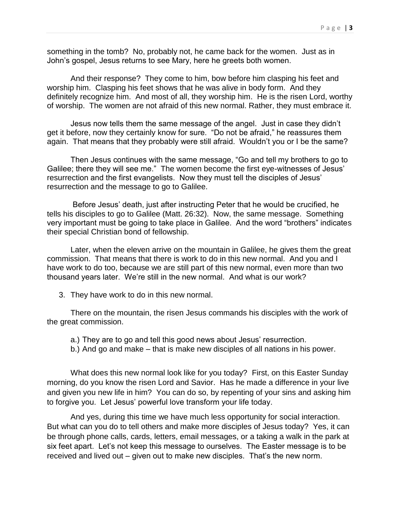something in the tomb? No, probably not, he came back for the women. Just as in John's gospel, Jesus returns to see Mary, here he greets both women.

And their response? They come to him, bow before him clasping his feet and worship him. Clasping his feet shows that he was alive in body form. And they definitely recognize him. And most of all, they worship him. He is the risen Lord, worthy of worship. The women are not afraid of this new normal. Rather, they must embrace it.

Jesus now tells them the same message of the angel. Just in case they didn't get it before, now they certainly know for sure. "Do not be afraid," he reassures them again. That means that they probably were still afraid. Wouldn't you or I be the same?

Then Jesus continues with the same message, "Go and tell my brothers to go to Galilee; there they will see me." The women become the first eye-witnesses of Jesus' resurrection and the first evangelists. Now they must tell the disciples of Jesus' resurrection and the message to go to Galilee.

Before Jesus' death, just after instructing Peter that he would be crucified, he tells his disciples to go to Galilee (Matt. 26:32). Now, the same message. Something very important must be going to take place in Galilee. And the word "brothers" indicates their special Christian bond of fellowship.

Later, when the eleven arrive on the mountain in Galilee, he gives them the great commission. That means that there is work to do in this new normal. And you and I have work to do too, because we are still part of this new normal, even more than two thousand years later. We're still in the new normal. And what is our work?

3. They have work to do in this new normal.

There on the mountain, the risen Jesus commands his disciples with the work of the great commission.

- a.) They are to go and tell this good news about Jesus' resurrection.
- b.) And go and make that is make new disciples of all nations in his power.

What does this new normal look like for you today? First, on this Easter Sunday morning, do you know the risen Lord and Savior. Has he made a difference in your live and given you new life in him? You can do so, by repenting of your sins and asking him to forgive you. Let Jesus' powerful love transform your life today.

And yes, during this time we have much less opportunity for social interaction. But what can you do to tell others and make more disciples of Jesus today? Yes, it can be through phone calls, cards, letters, email messages, or a taking a walk in the park at six feet apart. Let's not keep this message to ourselves. The Easter message is to be received and lived out – given out to make new disciples. That's the new norm.